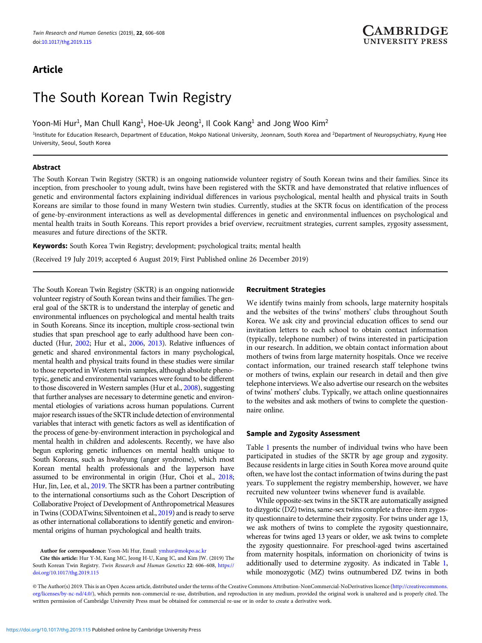# Article

# The South Korean Twin Registry

Yoon-Mi Hur $^1$ , Man Chull Kang $^1$ , Hoe-Uk Jeong $^1$ , Il Cook Kang $^1$  and Jong Woo Kim $^2$ 

<sup>1</sup>Institute for Education Research, Department of Education, Mokpo National University, Jeonnam, South Korea and <sup>2</sup>Department of Neuropsychiatry, Kyung Hee University, Seoul, South Korea

# Abstract

The South Korean Twin Registry (SKTR) is an ongoing nationwide volunteer registry of South Korean twins and their families. Since its inception, from preschooler to young adult, twins have been registered with the SKTR and have demonstrated that relative influences of genetic and environmental factors explaining individual differences in various psychological, mental health and physical traits in South Koreans are similar to those found in many Western twin studies. Currently, studies at the SKTR focus on identification of the process of gene-by-environment interactions as well as developmental differences in genetic and environmental influences on psychological and mental health traits in South Koreans. This report provides a brief overview, recruitment strategies, current samples, zygosity assessment, measures and future directions of the SKTR.

Keywords: South Korea Twin Registry; development; psychological traits; mental health

(Received 19 July 2019; accepted 6 August 2019; First Published online 26 December 2019)

The South Korean Twin Registry (SKTR) is an ongoing nationwide volunteer registry of South Korean twins and their families. The general goal of the SKTR is to understand the interplay of genetic and environmental influences on psychological and mental health traits in South Koreans. Since its inception, multiple cross-sectional twin studies that span preschool age to early adulthood have been conducted (Hur, [2002;](#page-1-0) Hur et al., [2006](#page-2-0), [2013](#page-2-0)). Relative influences of genetic and shared environmental factors in many psychological, mental health and physical traits found in these studies were similar to those reported in Western twin samples, although absolute phenotypic, genetic and environmental variances were found to be different to those discovered in Western samples (Hur et al., [2008](#page-2-0)), suggesting that further analyses are necessary to determine genetic and environmental etiologies of variations across human populations. Current major research issues of the SKTR include detection of environmental variables that interact with genetic factors as well as identification of the process of gene-by-environment interaction in psychological and mental health in children and adolescents. Recently, we have also begun exploring genetic influences on mental health unique to South Koreans, such as hwabyung (anger syndrome), which most Korean mental health professionals and the layperson have assumed to be environmental in origin (Hur, Choi et al., [2018](#page-2-0); Hur, Jin, Lee, et al., [2019.](#page-2-0) The SKTR has been a partner contributing to the international consortiums such as the Cohort Description of Collaborative Project of Development of Anthropometrical Measures in Twins (CODATwins; Silventoinen et al., [2019\)](#page-2-0) and is ready to serve as other international collaborations to identify genetic and environmental origins of human psychological and health traits.

Cite this article: Hur Y-M, Kang MC, Jeong H-U, Kang IC, and Kim JW. (2019) The South Korean Twin Registry. Twin Research and Human Genetics 22: 606–608, [https://](https://doi.org/10.1017/thg.2019.115) [doi.org/10.1017/thg.2019.115](https://doi.org/10.1017/thg.2019.115)

# Recruitment Strategies

We identify twins mainly from schools, large maternity hospitals and the websites of the twins' mothers' clubs throughout South Korea. We ask city and provincial education offices to send our invitation letters to each school to obtain contact information (typically, telephone number) of twins interested in participation in our research. In addition, we obtain contact information about mothers of twins from large maternity hospitals. Once we receive contact information, our trained research staff telephone twins or mothers of twins, explain our research in detail and then give telephone interviews. We also advertise our research on the websites of twins' mothers' clubs. Typically, we attach online questionnaires to the websites and ask mothers of twins to complete the questionnaire online.

# Sample and Zygosity Assessment

Table [1](#page-1-0) presents the number of individual twins who have been participated in studies of the SKTR by age group and zygosity. Because residents in large cities in South Korea move around quite often, we have lost the contact information of twins during the past years. To supplement the registry membership, however, we have recruited new volunteer twins whenever fund is available.

While opposite-sex twins in the SKTR are automatically assigned to dizygotic (DZ) twins, same-sex twins complete a three-item zygosity questionnaire to determine their zygosity. For twins under age 13, we ask mothers of twins to complete the zygosity questionnaire, whereas for twins aged 13 years or older, we ask twins to complete the zygosity questionnaire. For preschool-aged twins ascertained from maternity hospitals, information on chorionicity of twins is additionally used to determine zygosity. As indicated in Table [1](#page-1-0), while monozygotic (MZ) twins outnumbered DZ twins in both

© The Author(s) 2019. This is an Open Access article, distributed under the terms of the Creative Commons Attribution-NonCommercial-NoDerivatives licence [\(http://creativecommons.](https://creativecommons.org/licenses/by-nc-nd/4.0/) [org/licenses/by-nc-nd/4.0/](https://creativecommons.org/licenses/by-nc-nd/4.0/)), which permits non-commercial re-use, distribution, and reproduction in any medium, provided the original work is unaltered and is properly cited. The written permission of Cambridge University Press must be obtained for commercial re-use or in order to create a derivative work.

Author for correspondence: Yoon-Mi Hur, Email: [ymhur@mokpo.ac.kr](mailto:ymhur@mokpo.ac.kr)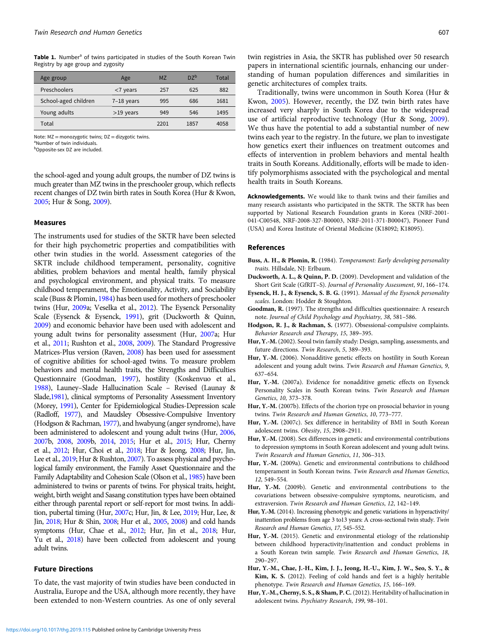<span id="page-1-0"></span>Table 1. Number<sup>a</sup> of twins participated in studies of the South Korean Twin Registry by age group and zygosity

| Age group            | Age          | <b>MZ</b> | $D7^b$ | Total |
|----------------------|--------------|-----------|--------|-------|
| Preschoolers         | $<$ 7 years  | 257       | 625    | 882   |
| School-aged children | $7-18$ years | 995       | 686    | 1681  |
| Young adults         | $>19$ years  | 949       | 546    | 1495  |
| Total                |              | 2201      | 1857   | 4058  |

Note: MZ = monozygotic twins; DZ = dizygotic twins.

a Number of twin individuals.

bOpposite-sex DZ are included.

the school-aged and young adult groups, the number of DZ twins is much greater than MZ twins in the preschooler group, which reflects recent changes of DZ twin birth rates in South Korea (Hur & Kwon, [2005;](#page-2-0) Hur & Song, [2009\)](#page-2-0).

#### Measures

The instruments used for studies of the SKTR have been selected for their high psychometric properties and compatibilities with other twin studies in the world. Assessment categories of the SKTR include childhood temperament, personality, cognitive abilities, problem behaviors and mental health, family physical and psychological environment, and physical traits. To measure childhood temperament, the Emotionality, Activity, and Sociability scale (Buss & Plomin, 1984) has been used for mothers of preschooler twins (Hur, 2009a; Veselka et al., [2012\)](#page-2-0). The Eysenck Personality Scale (Eysenck & Eysenck, 1991), grit (Duckworth & Quinn, 2009) and economic behavior have been used with adolescent and young adult twins for personality assessment (Hur, 2007a; Hur et al., [2011](#page-2-0); Rushton et al., [2008,](#page-2-0) [2009\)](#page-2-0). The Standard Progressive Matrices-Plus version (Raven, [2008](#page-2-0)) has been used for assessment of cognitive abilities for school-aged twins. To measure problem behaviors and mental health traits, the Strengths and Difficulties Questionnaire (Goodman, 1997), hostility (Koskenvuo et al., [1988\)](#page-2-0), Launey–Slade Hallucination Scale – Revised (Launay & Slade,[1981\)](#page-2-0), clinical symptoms of Personality Assessment Inventory (Morey, [1991](#page-2-0)), Center for Epidemiological Studies-Depression scale (Radloff, [1977](#page-2-0)), and Maudsley Obsessive-Compulsive Inventory (Hodgson & Rachman, 1977), and hwabyung (anger syndrome), have been administered to adolescent and young adult twins (Hur, 2006, 2007b, 2008, 2009b, 2014, 2015; Hur et al., [2015](#page-2-0); Hur, Cherny et al., 2012; Hur, Choi et al., [2018](#page-2-0); Hur & Jeong, [2008](#page-2-0); Hur, Jin, Lee et al., [2019;](#page-2-0) Hur & Rushton, [2007\)](#page-2-0). To assess physical and psychological family environment, the Family Asset Questionnaire and the Family Adaptability and Cohesion Scale (Olson et al., [1985](#page-2-0)) have been administered to twins or parents of twins. For physical traits, height, weight, birth weight and Sasang constitution types have been obtained either through parental report or self-report for most twins. In addition, pubertal timing (Hur, 2007c; Hur, Jin, & Lee, [2019;](#page-2-0) Hur, Lee, & Jin, [2018](#page-2-0); Hur & Shin, [2008;](#page-2-0) Hur et al., [2005,](#page-2-0) [2008\)](#page-2-0) and cold hands symptoms (Hur, Chae et al., 2012; Hur, Jin et al., [2018;](#page-2-0) Hur, Yu et al., [2018\)](#page-2-0) have been collected from adolescent and young adult twins.

#### Future Directions

To date, the vast majority of twin studies have been conducted in Australia, Europe and the USA, although more recently, they have been extended to non-Western countries. As one of only several

Traditionally, twins were uncommon in South Korea (Hur & Kwon, [2005](#page-2-0)). However, recently, the DZ twin birth rates have increased very sharply in South Korea due to the widespread use of artificial reproductive technology (Hur & Song, [2009\)](#page-2-0). We thus have the potential to add a substantial number of new twins each year to the registry. In the future, we plan to investigate how genetics exert their influences on treatment outcomes and effects of intervention in problem behaviors and mental health traits in South Koreans. Additionally, efforts will be made to identify polymorphisms associated with the psychological and mental health traits in South Koreans.

Acknowledgements. We would like to thank twins and their families and many research assistants who participated in the SKTR. The SKTR has been supported by National Research Foundation grants in Korea (NRF-2001- 041-C00548, NRF-2008-327-B00003, NRF-2011-371-B00047), Pioneer Fund (USA) and Korea Institute of Oriental Medicine (K18092; K18095).

#### References

- Buss, A. H., & Plomin, R. (1984). Temperament: Early developing personality traits. Hillsdale, NJ: Erlbaum.
- Duckworth, A. L., & Quinn, P. D. (2009). Development and validation of the Short Grit Scale (GfRIT–S). Journal of Personality Assessment, 91, 166–174.
- Eysenck, H. J., & Eysenck, S. B. G. (1991). Manual of the Eysenck personality scales. London: Hodder & Stoughton.
- Goodman, R. (1997). The strengths and difficulties questionnaire: A research note. Journal of Child Psychology and Psychiatry, 38, 581–586.
- Hodgson, R. J., & Rachman, S. (1977). Obsessional-compulsive complaints. Behavior Research and Therapy, 15, 389–395.
- Hur, Y.-M. (2002). Seoul twin family study: Design, sampling, assessments, and future directions. Twin Research, 5, 389–393.
- Hur, Y.-M. (2006). Nonadditive genetic effects on hostility in South Korean adolescent and young adult twins. Twin Research and Human Genetics, 9, 637–654.
- Hur, Y.-M. (2007a). Evidence for nonadditive genetic effects on Eysenck Personality Scales in South Korean twins. Twin Research and Human Genetics, 10, 373–378.
- Hur, Y.-M. (2007b). Effects of the chorion type on prosocial behavior in young twins. Twin Research and Human Genetics, 10, 773–777.
- Hur, Y.-M. (2007c). Sex difference in heritability of BMI in South Korean adolescent twins. Obesity, 15, 2908–2911.
- Hur, Y.-M. (2008). Sex differences in genetic and environmental contributions to depression symptoms in South Korean adolescent and young adult twins. Twin Research and Human Genetics, 11, 306–313.
- Hur, Y.-M. (2009a). Genetic and environmental contributions to childhood temperament in South Korean twins. Twin Research and Human Genetics, 12, 549–554.
- Hur, Y.-M. (2009b). Genetic and environmental contributions to the covariations between obsessive-compulsive symptoms, neuroticism, and extraversion. Twin Research and Human Genetics, 12, 142–149.
- Hur, Y.-M. (2014). Increasing phenotypic and genetic variations in hyperactivity/ inattention problems from age 3 to13 years: A cross-sectional twin study. Twin Research and Human Genetics, 17, 545–552.
- Hur, Y.-M. (2015). Genetic and environmental etiology of the relationship between childhood hyperactivity/inattention and conduct problems in a South Korean twin sample. Twin Research and Human Genetics, 18, 290–297.
- Hur, Y.-M., Chae, J.-H., Kim, J. J., Jeong, H.-U., Kim, J. W., Seo, S. Y., & Kim, K. S. (2012). Feeling of cold hands and feet is a highly heritable phenotype. Twin Research and Human Genetics, 15, 166–169.
- Hur, Y.-M., Cherny, S. S., & Sham, P. C. (2012). Heritability of hallucination in adolescent twins. Psychiatry Research, 199, 98–101.